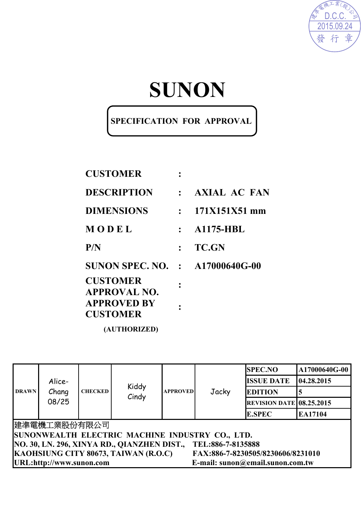

# **SUNON**

### **SPECIFICATION FOR APPROVAL**

| <b>CUSTOMER</b>                        |              |                     |
|----------------------------------------|--------------|---------------------|
| <b>DESCRIPTION</b>                     | $\mathbf{L}$ | <b>AXIAL AC FAN</b> |
| <b>DIMENSIONS</b>                      | $\mathbf{r}$ | 171X151X51 mm       |
| MODEL                                  |              | <b>A1175-HBL</b>    |
| P/N                                    |              | <b>TC.GN</b>        |
| <b>SUNON SPEC. NO. : A17000640G-00</b> |              |                     |
| <b>CUSTOMER</b><br><b>APPROVAL NO.</b> |              |                     |
| <b>APPROVED BY</b><br><b>CUSTOMER</b>  |              |                     |
| (AUTHORIZED)                           |              |                     |

| <b>DRAWN</b>                                                              | Alice-<br>Chang<br>08/25                                         | <b>CHECKED</b> | Kiddy<br>Cindy | <b>APPROVED</b> |       | <b>SPEC.NO</b>                  | A17000640G-00 |  |
|---------------------------------------------------------------------------|------------------------------------------------------------------|----------------|----------------|-----------------|-------|---------------------------------|---------------|--|
|                                                                           |                                                                  |                |                |                 | Jacky | <b>ISSUE DATE</b>               | 04.28.2015    |  |
|                                                                           |                                                                  |                |                |                 |       | <b>EDITION</b>                  |               |  |
|                                                                           |                                                                  |                |                |                 |       | <b>REVISION DATE 08.25.2015</b> |               |  |
|                                                                           |                                                                  |                |                |                 |       | <b>E.SPEC</b>                   | EA17104       |  |
|                                                                           | 建準電機工業股份有限公司                                                     |                |                |                 |       |                                 |               |  |
| SUNONWEALTH ELECTRIC MACHINE INDUSTRY CO., LTD.                           |                                                                  |                |                |                 |       |                                 |               |  |
|                                                                           | NO. 30, LN. 296, XINYA RD., QIANZHEN DIST.,<br>TEL:886-7-8135888 |                |                |                 |       |                                 |               |  |
| KAOHSIUNG CITY 80673, TAIWAN (R.O.C)<br>FAX:886-7-8230505/8230606/8231010 |                                                                  |                |                |                 |       |                                 |               |  |
| URL:http://www.sunon.com<br>E-mail: sunon@email.sunon.com.tw              |                                                                  |                |                |                 |       |                                 |               |  |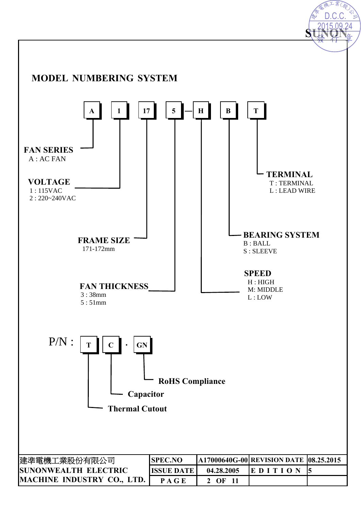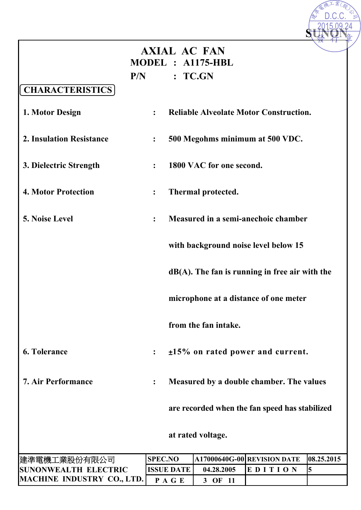|                             |                              |                   | <b>AXIAL AC FAN</b>      |                                                   |            |
|-----------------------------|------------------------------|-------------------|--------------------------|---------------------------------------------------|------------|
|                             |                              |                   | MODEL : A1175-HBL        |                                                   |            |
|                             | P/N                          |                   | : TCGN                   |                                                   |            |
| <b>CHARACTERISTICS</b>      |                              |                   |                          |                                                   |            |
| 1. Motor Design             | $\ddot{\cdot}$               |                   |                          | <b>Reliable Alveolate Motor Construction.</b>     |            |
| 2. Insulation Resistance    | $\ddot{\cdot}$               |                   |                          | 500 Megohms minimum at 500 VDC.                   |            |
| 3. Dielectric Strength      | $\ddot{\cdot}$               |                   | 1800 VAC for one second. |                                                   |            |
| <b>4. Motor Protection</b>  | $\overset{\bullet}{\bullet}$ |                   | Thermal protected.       |                                                   |            |
| 5. Noise Level              | $\ddot{\cdot}$               |                   |                          | Measured in a semi-anechoic chamber               |            |
|                             |                              |                   |                          | with background noise level below 15              |            |
|                             |                              |                   |                          | $dB(A)$ . The fan is running in free air with the |            |
|                             |                              |                   |                          | microphone at a distance of one meter             |            |
|                             |                              |                   | from the fan intake.     |                                                   |            |
| <b>6. Tolerance</b>         | $\ddot{\cdot}$               |                   |                          | $\pm 15\%$ on rated power and current.            |            |
| <b>7. Air Performance</b>   | $\ddot{\cdot}$               |                   |                          | Measured by a double chamber. The values          |            |
|                             |                              |                   |                          | are recorded when the fan speed has stabilized    |            |
|                             |                              |                   | at rated voltage.        |                                                   |            |
| 建準電機工業股份有限公司                | <b>SPEC.NO</b>               |                   |                          | A17000640G-00 REVISION DATE                       | 08.25.2015 |
| <b>SUNONWEALTH ELECTRIC</b> |                              | <b>ISSUE DATE</b> | 04.28.2005               | EDITION                                           | 5          |
| MACHINE INDUSTRY CO., LTD.  |                              | PAGE              | 3 OF 11                  |                                                   |            |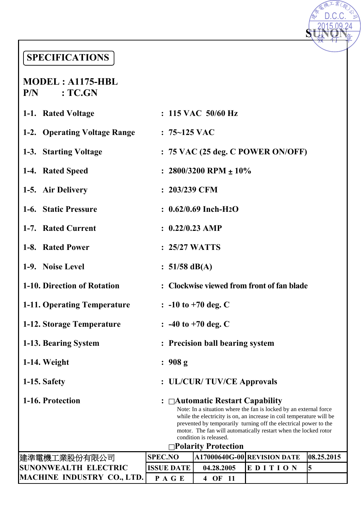### **SPECIFICATIONS**

#### **MODEL : A1175-HBL P/N : TC.GN**

| <b>SPECIFICATIONS</b>               |                                                                                                                                                                                                                                                                                                                                                                                    |                                     |                                            |            |  |  |
|-------------------------------------|------------------------------------------------------------------------------------------------------------------------------------------------------------------------------------------------------------------------------------------------------------------------------------------------------------------------------------------------------------------------------------|-------------------------------------|--------------------------------------------|------------|--|--|
| $MODEL: A1175-HBL$<br>:TC.GN<br>P/N |                                                                                                                                                                                                                                                                                                                                                                                    |                                     |                                            |            |  |  |
| 1-1. Rated Voltage                  |                                                                                                                                                                                                                                                                                                                                                                                    | $: 115$ VAC $50/60$ Hz              |                                            |            |  |  |
| 1-2. Operating Voltage Range        | $: 75 - 125$ VAC                                                                                                                                                                                                                                                                                                                                                                   |                                     |                                            |            |  |  |
| 1-3. Starting Voltage               |                                                                                                                                                                                                                                                                                                                                                                                    |                                     | $: 75$ VAC (25 deg. C POWER ON/OFF)        |            |  |  |
| 1-4. Rated Speed                    |                                                                                                                                                                                                                                                                                                                                                                                    | : $2800/3200$ RPM $\pm 10\%$        |                                            |            |  |  |
| 1-5. Air Delivery                   | $: 203/239$ CFM                                                                                                                                                                                                                                                                                                                                                                    |                                     |                                            |            |  |  |
| 1-6. Static Pressure                |                                                                                                                                                                                                                                                                                                                                                                                    | $: 0.62/0.69$ Inch-H <sub>2</sub> O |                                            |            |  |  |
| 1-7. Rated Current                  | $: 0.22/0.23$ AMP                                                                                                                                                                                                                                                                                                                                                                  |                                     |                                            |            |  |  |
| 1-8. Rated Power                    | $: 25/27$ WATTS                                                                                                                                                                                                                                                                                                                                                                    |                                     |                                            |            |  |  |
| 1-9. Noise Level                    | : $51/58$ dB(A)                                                                                                                                                                                                                                                                                                                                                                    |                                     |                                            |            |  |  |
| 1-10. Direction of Rotation         |                                                                                                                                                                                                                                                                                                                                                                                    |                                     | : Clockwise viewed from front of fan blade |            |  |  |
| 1-11. Operating Temperature         |                                                                                                                                                                                                                                                                                                                                                                                    | $\therefore$ -10 to +70 deg. C      |                                            |            |  |  |
| 1-12. Storage Temperature           |                                                                                                                                                                                                                                                                                                                                                                                    | $\therefore$ -40 to +70 deg. C      |                                            |            |  |  |
| 1-13. Bearing System                |                                                                                                                                                                                                                                                                                                                                                                                    | : Precision ball bearing system     |                                            |            |  |  |
| 1-14. Weight                        | : 908 g                                                                                                                                                                                                                                                                                                                                                                            |                                     |                                            |            |  |  |
| 1-15. Safety                        |                                                                                                                                                                                                                                                                                                                                                                                    | : UL/CUR/TUV/CE Approvals           |                                            |            |  |  |
| 1-16. Protection                    | : $\Box$ Automatic Restart Capability<br>Note: In a situation where the fan is locked by an external force<br>while the electricity is on, an increase in coil temperature will be<br>prevented by temporarily turning off the electrical power to the<br>motor. The fan will automatically restart when the locked rotor<br>condition is released.<br><b>□Polarity Protection</b> |                                     |                                            |            |  |  |
| 建準電機工業股份有限公司                        | <b>SPEC.NO</b>                                                                                                                                                                                                                                                                                                                                                                     |                                     | A17000640G-00 REVISION DATE                | 08.25.2015 |  |  |
| <b>SUNONWEALTH ELECTRIC</b>         | <b>ISSUE DATE</b>                                                                                                                                                                                                                                                                                                                                                                  | 04.28.2005                          | EDITION                                    | 5          |  |  |
| <b>MACHINE INDUSTRY CO., LTD.</b>   | PAGE                                                                                                                                                                                                                                                                                                                                                                               | 4 OF 11                             |                                            |            |  |  |

D.C.C.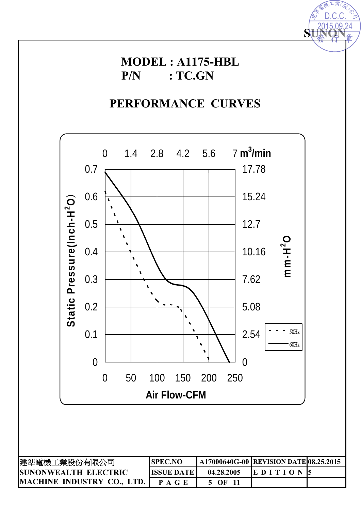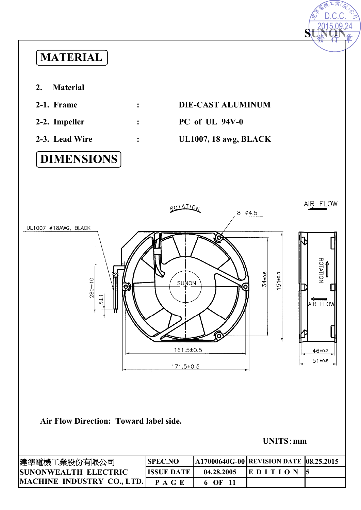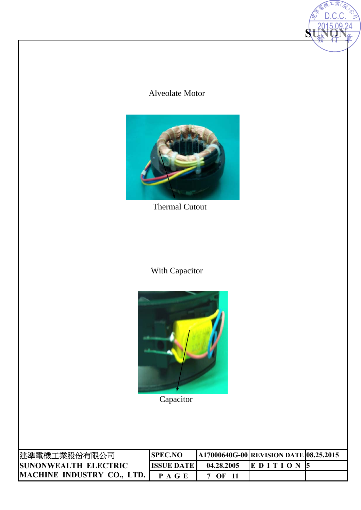### Alveolate Motor

**SUNON** 

2015.09.24 D.C.C.



Thermal Cutout

### With Capacitor



**Capacitor** 

| 建準電機工業股份有限公司                 | <b>ISPEC.NO</b>   |            | <b>A17000640G-00 REVISION DATE 08.25.2015</b> |  |
|------------------------------|-------------------|------------|-----------------------------------------------|--|
| <b>ISUNONWEALTH ELECTRIC</b> | <b>ISSUE DATE</b> | 04.28.2005 | EDITION 5                                     |  |
| MACHINE INDUSTRY CO., LTD.   | P A G E           | OЕ         |                                               |  |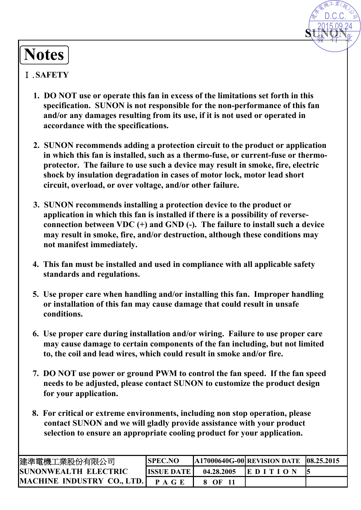# **Notes**

### Ⅰ.**SAFETY**

**1. DO NOT use or operate this fan in excess of the limitations set forth in this specification. SUNON is not responsible for the non-performance of this fan and/or any damages resulting from its use, if it is not used or operated in accordance with the specifications.** 

**SUNON** 

D.C.C.

- **2. SUNON recommends adding a protection circuit to the product or application in which this fan is installed, such as a thermo-fuse, or current-fuse or thermoprotector. The failure to use such a device may result in smoke, fire, electric shock by insulation degradation in cases of motor lock, motor lead short circuit, overload, or over voltage, and/or other failure.**
- **3. SUNON recommends installing a protection device to the product or application in which this fan is installed if there is a possibility of reverseconnection between VDC (+) and GND (-). The failure to install such a device may result in smoke, fire, and/or destruction, although these conditions may not manifest immediately. Motes**<br> **Machinese 11**<br> **Machinese 11**<br> **Machinese 11**<br> **Machinese 11**<br> **Machinese 11**<br> **Machinese 11**<br> **Machinese 12**<br> **Machinese 12**<br> **Machinese 12**<br> **Machinese 12**<br> **Machinese 12**<br> **Machinese 12**<br> **Machinese 12**<br> **Mac** 
	- **4. This fan must be installed and used in compliance with all applicable safety standards and regulations.**
	- **5. Use proper care when handling and/or installing this fan. Improper handling or installation of this fan may cause damage that could result in unsafe conditions.**
	- **6. Use proper care during installation and/or wiring. Failure to use proper care may cause damage to certain components of the fan including, but not limited to, the coil and lead wires, which could result in smoke and/or fire.**
	- **7. DO NOT use power or ground PWM to control the fan speed. If the fan speed needs to be adjusted, please contact SUNON to customize the product design for your application.**
	- **8. For critical or extreme environments, including non stop operation, please contact SUNON and we will gladly provide assistance with your product selection to ensure an appropriate cooling product for your application.**

| 建準電機工業股份有限公司                | <b>ISPEC.NO</b>    |            | <b>A17000640G-00 REVISION DATE 08.25.2015</b> |  |
|-----------------------------|--------------------|------------|-----------------------------------------------|--|
| <b>SUNONWEALTH ELECTRIC</b> | <b>IISSUE DATE</b> | 04.28.2005 | <b>IEDITION</b>                               |  |
| MACHINE INDUSTRY CO., LTD.  | P A G E            | $\Omega$   |                                               |  |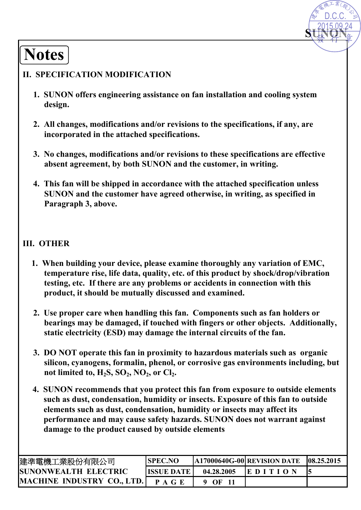# **Notes**

### **II. SPECIFICATION MODIFICATION**

**1. SUNON offers engineering assistance on fan installation and cooling system design.** 

**SUNON**

D.C.C.

- **2. All changes, modifications and/or revisions to the specifications, if any, are incorporated in the attached specifications.**
- **3. No changes, modifications and/or revisions to these specifications are effective absent agreement, by both SUNON and the customer, in writing.**
- **4. This fan will be shipped in accordance with the attached specification unless SUNON and the customer have agreed otherwise, in writing, as specified in Paragraph 3, above.**

### **III. OTHER**

- **1. When building your device, please examine thoroughly any variation of EMC, temperature rise, life data, quality, etc. of this product by shock/drop/vibration testing, etc. If there are any problems or accidents in connection with this product, it should be mutually discussed and examined.**
- **2. Use proper care when handling this fan. Components such as fan holders or bearings may be damaged, if touched with fingers or other objects. Additionally, static electricity (ESD) may damage the internal circuits of the fan.**
- **3. DO NOT operate this fan in proximity to hazardous materials such as organic silicon, cyanogens, formalin, phenol, or corrosive gas environments including, but**  not limited to, H<sub>2</sub>S, SO<sub>2</sub>, NO<sub>2</sub>, or Cl<sub>2</sub>.
- **4. SUNON recommends that you protect this fan from exposure to outside elements such as dust, condensation, humidity or insects. Exposure of this fan to outside elements such as dust, condensation, humidity or insects may affect its performance and may cause safety hazards. SUNON does not warrant against damage to the product caused by outside elements MOTES**<br> **MACHINE INTERNATION AND INTERNATION AND ACTION AND THE SET AND ANOTHER AND ANOTHER AND ANOTHER AND AND ANOTHER AND AND ANOTHER AND AND AND AND AND ANOTHER AND AND AND AND ANOTHER AND ANOTHER AND ANOTHER AND ANOT**

| 建準電機工業股份有限公司                      | <b>SPEC.NO</b>    |            | A17000640G-00 REVISION DATE | 08.25.2015 |
|-----------------------------------|-------------------|------------|-----------------------------|------------|
| <b>SUNONWEALTH ELECTRIC</b>       | <b>ISSUE DATE</b> | 04.28.2005 | <b>IEDITION</b>             |            |
| <b>MACHINE INDUSTRY CO., LTD.</b> | P A G E           | OF         |                             |            |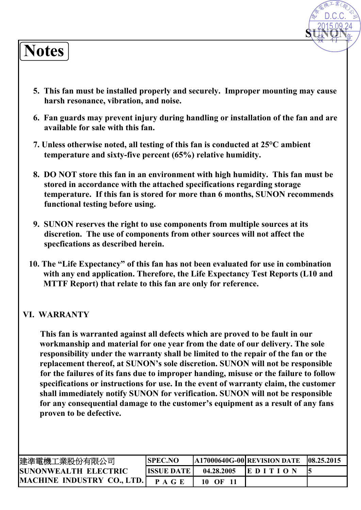# **Notes**

**5. This fan must be installed properly and securely. Improper mounting may cause harsh resonance, vibration, and noise.**

**SUNON**

D.C.C.

- **6. Fan guards may prevent injury during handling or installation of the fan and are available for sale with this fan.**
- **7. Unless otherwise noted, all testing of this fan is conducted at 25°C ambient temperature and sixty-five percent (65%) relative humidity.**
- **8. DO NOT store this fan in an environment with high humidity. This fan must be stored in accordance with the attached specifications regarding storage temperature. If this fan is stored for more than 6 months, SUNON recommends functional testing before using.**
- **9. SUNON reserves the right to use components from multiple sources at its discretion. The use of components from other sources will not affect the specfications as described herein.**
- **10. The "Life Expectancy" of this fan has not been evaluated for use in combination with any end application. Therefore, the Life Expectancy Test Reports (L10 and MTTF Report) that relate to this fan are only for reference.**

#### **VI. WARRANTY**

**This fan is warranted against all defects which are proved to be fault in our workmanship and material for one year from the date of our delivery. The sole responsibility under the warranty shall be limited to the repair of the fan or the replacement thereof, at SUNON's sole discretion. SUNON will not be responsible for the failures of its fans due to improper handing, misuse or the failure to follow specifications or instructions for use. In the event of warranty claim, the customer shall immediately notify SUNON for verification. SUNON will not be responsible for any consequential damage to the customer's equipment as a result of any fans proven to be defective. Motes**<br> **Machinese SET ANET ANCES ANET ANCES ANET ANCES ANET AND AN ANOTHER CONSULTER ANCES ANET ANCES ANET ANCES AND A GENERAL PROPERTIES AND AN ANTION CONSULTER ANET AND AN ANTION CONSULTER AN AND AN ANTION CONSULTER A** 

| 建準電機工業股份有限公司                      | <b>SPEC.NO</b> |            | A17000640G-00 REVISION DATE | 108.25.2015 |
|-----------------------------------|----------------|------------|-----------------------------|-------------|
| <b>SUNONWEALTH ELECTRIC</b>       | IISSUE DATE I  | 04.28.2005 | <b>IEDITION</b>             |             |
| <b>MACHINE INDUSTRY CO., LTD.</b> | P A G E        | 10.        |                             |             |